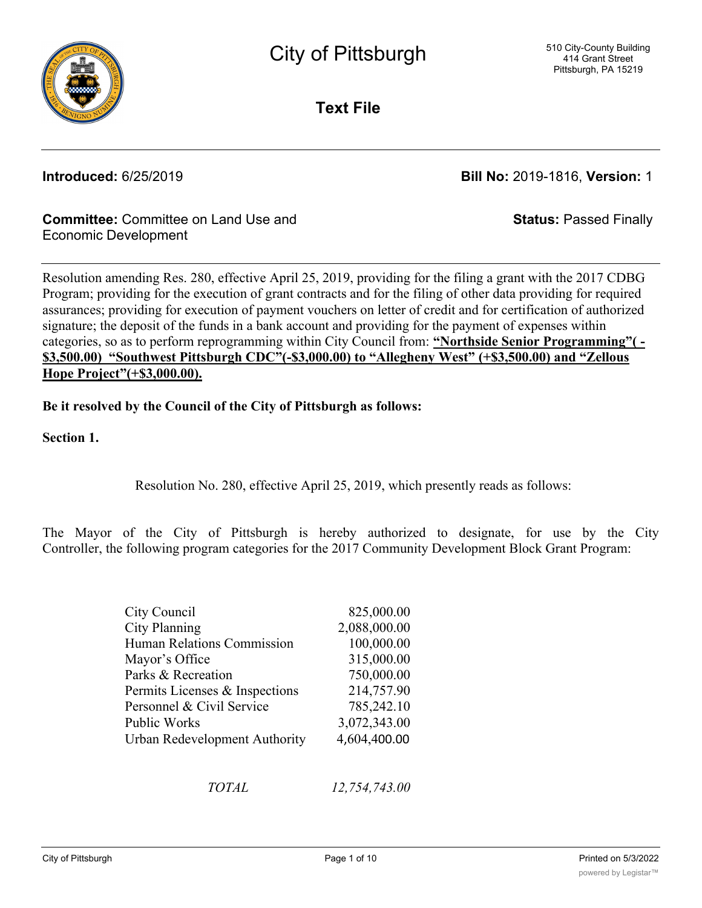

**Text File**

**Introduced:** 6/25/2019 **Bill No:** 2019-1816, **Version:** 1

**Status:** Passed Finally

### **Committee:** Committee on Land Use and Economic Development

Resolution amending Res. 280, effective April 25, 2019, providing for the filing a grant with the 2017 CDBG Program; providing for the execution of grant contracts and for the filing of other data providing for required assurances; providing for execution of payment vouchers on letter of credit and for certification of authorized signature; the deposit of the funds in a bank account and providing for the payment of expenses within categories, so as to perform reprogramming within City Council from: **"Northside Senior Programming"( - \$3,500.00) "Southwest Pittsburgh CDC"(-\$3,000.00) to "Allegheny West" (+\$3,500.00) and "Zellous Hope Project"(+\$3,000.00).**

**Be it resolved by the Council of the City of Pittsburgh as follows:**

**Section 1.**

Resolution No. 280, effective April 25, 2019, which presently reads as follows:

The Mayor of the City of Pittsburgh is hereby authorized to designate, for use by the City Controller, the following program categories for the 2017 Community Development Block Grant Program:

| City Council                   | 825,000.00   |
|--------------------------------|--------------|
| <b>City Planning</b>           | 2,088,000.00 |
| Human Relations Commission     | 100,000.00   |
| Mayor's Office                 | 315,000.00   |
| Parks & Recreation             | 750,000.00   |
| Permits Licenses & Inspections | 214,757.90   |
| Personnel & Civil Service      | 785,242.10   |
| Public Works                   | 3,072,343.00 |
| Urban Redevelopment Authority  | 4,604,400.00 |
|                                |              |

*TOTAL 12,754,743.00*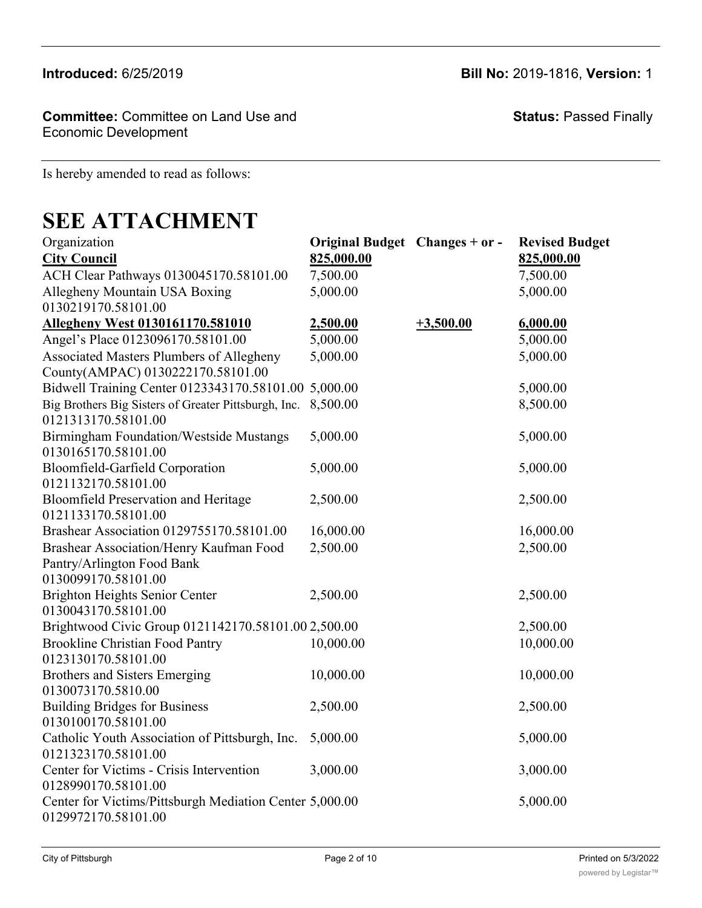**Committee:** Committee on Land Use and Economic Development

**Status:** Passed Finally

Is hereby amended to read as follows:

# **SEE ATTACHMENT**

| Organization                                                                         | Original Budget Changes + or - |             | <b>Revised Budget</b> |
|--------------------------------------------------------------------------------------|--------------------------------|-------------|-----------------------|
| <b>City Council</b>                                                                  | 825,000.00                     |             | 825,000.00            |
| ACH Clear Pathways 0130045170.58101.00                                               | 7,500.00                       |             | 7,500.00              |
| Allegheny Mountain USA Boxing                                                        | 5,000.00                       |             | 5,000.00              |
| 0130219170.58101.00                                                                  |                                |             |                       |
| Allegheny West 0130161170.581010                                                     | 2,500.00                       | $+3,500.00$ | 6,000.00              |
| Angel's Place 0123096170.58101.00                                                    | 5,000.00                       |             | 5,000.00              |
| <b>Associated Masters Plumbers of Allegheny</b><br>County(AMPAC) 0130222170.58101.00 | 5,000.00                       |             | 5,000.00              |
| Bidwell Training Center 0123343170.58101.00 5,000.00                                 |                                |             | 5,000.00              |
| Big Brothers Big Sisters of Greater Pittsburgh, Inc.<br>0121313170.58101.00          | 8,500.00                       |             | 8,500.00              |
| <b>Birmingham Foundation/Westside Mustangs</b><br>0130165170.58101.00                | 5,000.00                       |             | 5,000.00              |
| Bloomfield-Garfield Corporation                                                      | 5,000.00                       |             | 5,000.00              |
| 0121132170.58101.00                                                                  |                                |             |                       |
| <b>Bloomfield Preservation and Heritage</b>                                          | 2,500.00                       |             | 2,500.00              |
| 0121133170.58101.00                                                                  |                                |             |                       |
| Brashear Association 0129755170.58101.00                                             | 16,000.00                      |             | 16,000.00             |
| Brashear Association/Henry Kaufman Food                                              | 2,500.00                       |             | 2,500.00              |
| Pantry/Arlington Food Bank                                                           |                                |             |                       |
| 0130099170.58101.00                                                                  |                                |             |                       |
| Brighton Heights Senior Center                                                       | 2,500.00                       |             | 2,500.00              |
| 0130043170.58101.00                                                                  |                                |             |                       |
| Brightwood Civic Group 0121142170.58101.00 2,500.00                                  |                                |             | 2,500.00              |
| <b>Brookline Christian Food Pantry</b><br>0123130170.58101.00                        | 10,000.00                      |             | 10,000.00             |
| <b>Brothers and Sisters Emerging</b>                                                 | 10,000.00                      |             | 10,000.00             |
| 0130073170.5810.00                                                                   |                                |             |                       |
| <b>Building Bridges for Business</b>                                                 | 2,500.00                       |             | 2,500.00              |
| 0130100170.58101.00                                                                  |                                |             |                       |
| Catholic Youth Association of Pittsburgh, Inc.                                       | 5,000.00                       |             | 5,000.00              |
| 0121323170.58101.00                                                                  |                                |             |                       |
| Center for Victims - Crisis Intervention                                             | 3,000.00                       |             | 3,000.00              |
| 0128990170.58101.00                                                                  |                                |             |                       |
| Center for Victims/Pittsburgh Mediation Center 5,000.00<br>0129972170.58101.00       |                                |             | 5,000.00              |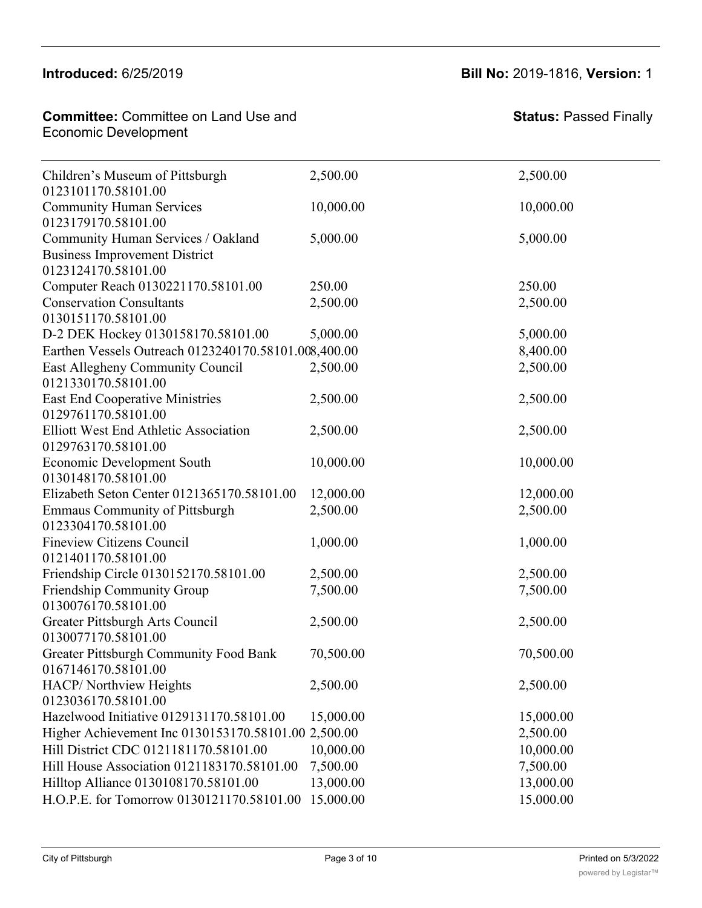#### $1013010001000100$  $M$ Catholic Volton  $\mathcal{L}$

Building Bridges for Business

#### **Committee: Committee on Land Use and** Economic Development Center for Victims/Pittsburgh Mediation Center

2,500.00 2,500.00

| Children's Museum of Pittsburgh<br>0123101170.58101.00                                            | 2,500.00  | 2,500.00  |
|---------------------------------------------------------------------------------------------------|-----------|-----------|
| <b>Community Human Services</b><br>0123179170.58101.00                                            | 10,000.00 | 10,000.00 |
| Community Human Services / Oakland<br><b>Business Improvement District</b><br>0123124170.58101.00 | 5,000.00  | 5,000.00  |
| Computer Reach 0130221170.58101.00                                                                | 250.00    | 250.00    |
| <b>Conservation Consultants</b><br>0130151170.58101.00                                            | 2,500.00  | 2,500.00  |
| D-2 DEK Hockey 0130158170.58101.00                                                                | 5,000.00  | 5,000.00  |
| Earthen Vessels Outreach 0123240170.58101.008,400.00                                              |           | 8,400.00  |
| East Allegheny Community Council<br>0121330170.58101.00                                           | 2,500.00  | 2,500.00  |
| <b>East End Cooperative Ministries</b><br>0129761170.58101.00                                     | 2,500.00  | 2,500.00  |
| Elliott West End Athletic Association<br>0129763170.58101.00                                      | 2,500.00  | 2,500.00  |
| <b>Economic Development South</b><br>0130148170.58101.00                                          | 10,000.00 | 10,000.00 |
| Elizabeth Seton Center 0121365170.58101.00                                                        | 12,000.00 | 12,000.00 |
| <b>Emmaus Community of Pittsburgh</b><br>0123304170.58101.00                                      | 2,500.00  | 2,500.00  |
| Fineview Citizens Council<br>0121401170.58101.00                                                  | 1,000.00  | 1,000.00  |
| Friendship Circle 0130152170.58101.00                                                             | 2,500.00  | 2,500.00  |
| Friendship Community Group<br>0130076170.58101.00                                                 | 7,500.00  | 7,500.00  |
| Greater Pittsburgh Arts Council<br>0130077170.58101.00                                            | 2,500.00  | 2,500.00  |
| Greater Pittsburgh Community Food Bank<br>0167146170.58101.00                                     | 70,500.00 | 70,500.00 |
| HACP/ Northview Heights<br>0123036170.58101.00                                                    | 2,500.00  | 2,500.00  |
| Hazelwood Initiative 0129131170.58101.00                                                          | 15,000.00 | 15,000.00 |
| Higher Achievement Inc 0130153170.58101.00 2,500.00                                               |           | 2,500.00  |
| Hill District CDC 0121181170.58101.00                                                             | 10,000.00 | 10,000.00 |
| Hill House Association 0121183170.58101.00                                                        | 7,500.00  | 7,500.00  |
| Hilltop Alliance 0130108170.58101.00                                                              | 13,000.00 | 13,000.00 |
| H.O.P.E. for Tomorrow 0130121170.58101.00                                                         | 15,000.00 | 15,000.00 |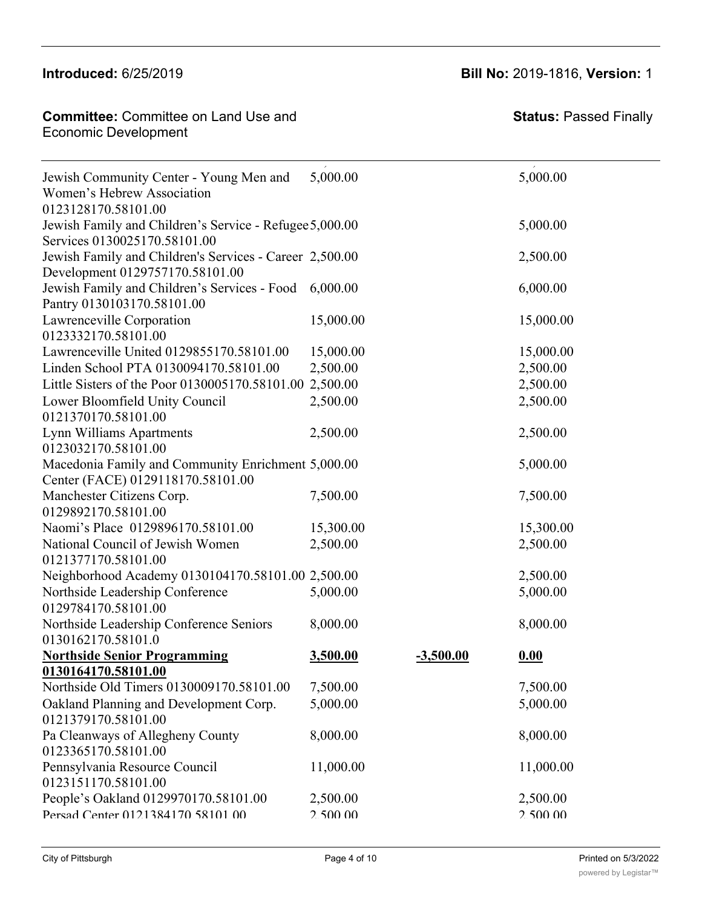Hackberry Hart (1986)<br>Hackberry Heights Heights Heights Heights Heights Heights Heights Heights Heights Heights Heights Heights Heights<br>Heights Heights Heights Heights Heights Heights Heights Heights Heights Heights Height

**Committee:** Committee on Land Use and **Committee: Status:** P Economic Development<br>
Historia Hilltop Alliance 0130108170.58101.00 13,000.00 13,000.00

## **Introduced:** 6/25/2019 **Bill No:** 2019-1816, **Version:** 1

2,500.00 2,500.00

| Jewish Community Center - Young Men and<br>Women's Hebrew Association                      | 5,000.00  |             | 5,000.00  |
|--------------------------------------------------------------------------------------------|-----------|-------------|-----------|
| 0123128170.58101.00                                                                        |           |             |           |
| Jewish Family and Children's Service - Refugee 5,000.00<br>Services 0130025170.58101.00    |           |             | 5,000.00  |
| Jewish Family and Children's Services - Career 2,500.00<br>Development 0129757170.58101.00 |           |             | 2,500.00  |
| Jewish Family and Children's Services - Food<br>Pantry 0130103170.58101.00                 | 6,000.00  |             | 6,000.00  |
| Lawrenceville Corporation<br>0123332170.58101.00                                           | 15,000.00 |             | 15,000.00 |
| Lawrenceville United 0129855170.58101.00                                                   | 15,000.00 |             | 15,000.00 |
| Linden School PTA 0130094170.58101.00                                                      | 2,500.00  |             | 2,500.00  |
| Little Sisters of the Poor 0130005170.58101.00 2,500.00                                    |           |             | 2,500.00  |
| Lower Bloomfield Unity Council<br>0121370170.58101.00                                      | 2,500.00  |             | 2,500.00  |
| Lynn Williams Apartments<br>0123032170.58101.00                                            | 2,500.00  |             | 2,500.00  |
| Macedonia Family and Community Enrichment 5,000.00<br>Center (FACE) 0129118170.58101.00    |           |             | 5,000.00  |
| Manchester Citizens Corp.<br>0129892170.58101.00                                           | 7,500.00  |             | 7,500.00  |
| Naomi's Place 0129896170.58101.00                                                          | 15,300.00 |             | 15,300.00 |
| National Council of Jewish Women<br>0121377170.58101.00                                    | 2,500.00  |             | 2,500.00  |
| Neighborhood Academy 0130104170.58101.00 2,500.00                                          |           |             | 2,500.00  |
| Northside Leadership Conference<br>0129784170.58101.00                                     | 5,000.00  |             | 5,000.00  |
| Northside Leadership Conference Seniors<br>0130162170.58101.0                              | 8,000.00  |             | 8,000.00  |
| <b>Northside Senior Programming</b>                                                        | 3,500.00  | $-3,500.00$ | 0.00      |
| 0130164170.58101.00                                                                        |           |             |           |
| Northside Old Timers 0130009170.58101.00                                                   | 7,500.00  |             | 7,500.00  |
| Oakland Planning and Development Corp.<br>0121379170.58101.00                              | 5,000.00  |             | 5,000.00  |
| Pa Cleanways of Allegheny County<br>0123365170.58101.00                                    | 8,000.00  |             | 8,000.00  |
| Pennsylvania Resource Council<br>0123151170.58101.00                                       | 11,000.00 |             | 11,000.00 |
| People's Oakland 0129970170.58101.00                                                       | 2,500.00  |             | 2,500.00  |
| Persad Center 0121384170 58101 00                                                          | 2.500.00  |             | 2.500.00  |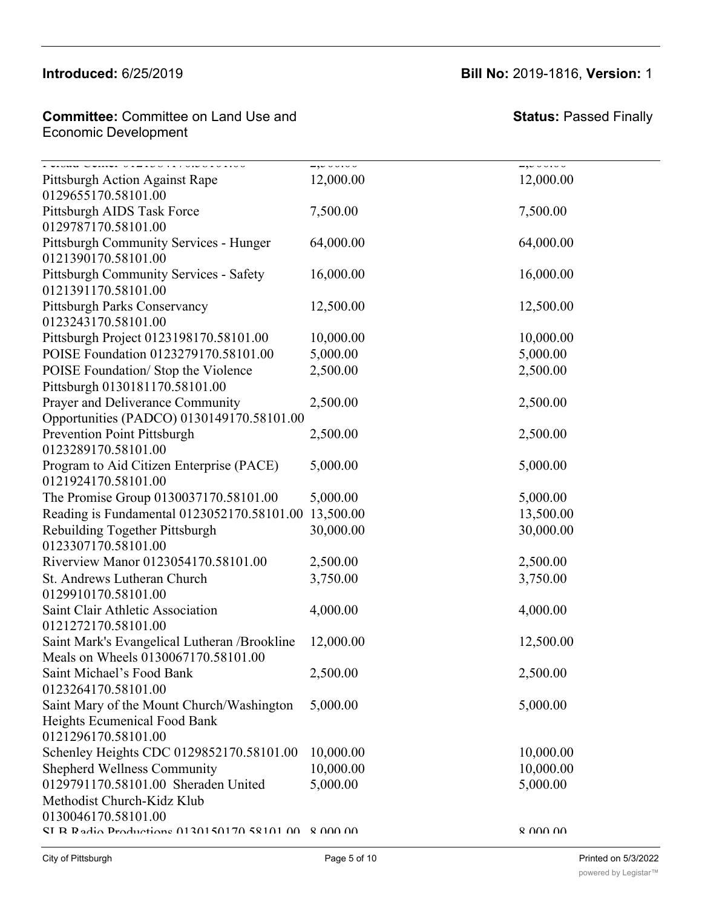#### $Introducing  $6/25/20$ .$  $P$  and  $P$  county county  $P$  and  $P$

#### Committee: Committee on Land Use and **Economic Development**

Oakland Planning and Development Corp.

#### **Introduced:** 6/25/2019 **Bill No:** 2019-1816, **Version:** 1  $\frac{1}{2}$  8,000.000 8,000 8,000 8,000 8,000 8,000 8,000 8,000 8,000 8,000 8,000 8,000 8,000 8,000 8,000 8,000 8,000 8,000 8,000 8,000 8,000 8,000 8,000 8,000 8,000 8,000 8,000 8,000 8,000 8,000 8,000 8,000 8,000 8,000 8,0

5,000.00 5,000.00

| T VIDNA UVIIVI VIEIDUTITTURULUINU<br>Pittsburgh Action Against Rape | $-,-$<br>12,000.00 | $-,-$<br>12,000.00 |
|---------------------------------------------------------------------|--------------------|--------------------|
| 0129655170.58101.00                                                 |                    |                    |
| Pittsburgh AIDS Task Force                                          | 7,500.00           | 7,500.00           |
| 0129787170.58101.00                                                 |                    |                    |
| <b>Pittsburgh Community Services - Hunger</b>                       | 64,000.00          | 64,000.00          |
| 0121390170.58101.00                                                 |                    |                    |
| <b>Pittsburgh Community Services - Safety</b>                       | 16,000.00          | 16,000.00          |
| 0121391170.58101.00                                                 |                    |                    |
| <b>Pittsburgh Parks Conservancy</b>                                 | 12,500.00          | 12,500.00          |
| 0123243170.58101.00                                                 |                    |                    |
| Pittsburgh Project 0123198170.58101.00                              | 10,000.00          | 10,000.00          |
| POISE Foundation 0123279170.58101.00                                | 5,000.00           | 5,000.00           |
| POISE Foundation/Stop the Violence                                  | 2,500.00           | 2,500.00           |
| Pittsburgh 0130181170.58101.00                                      |                    |                    |
| Prayer and Deliverance Community                                    | 2,500.00           | 2,500.00           |
| Opportunities (PADCO) 0130149170.58101.00                           |                    |                    |
| Prevention Point Pittsburgh                                         | 2,500.00           | 2,500.00           |
| 0123289170.58101.00                                                 |                    |                    |
| Program to Aid Citizen Enterprise (PACE)                            | 5,000.00           | 5,000.00           |
| 0121924170.58101.00                                                 |                    |                    |
| The Promise Group 0130037170.58101.00                               | 5,000.00           | 5,000.00           |
| Reading is Fundamental 0123052170.58101.00 13,500.00                |                    | 13,500.00          |
| Rebuilding Together Pittsburgh                                      | 30,000.00          | 30,000.00          |
| 0123307170.58101.00                                                 |                    |                    |
| Riverview Manor 0123054170.58101.00                                 | 2,500.00           | 2,500.00           |
| St. Andrews Lutheran Church                                         | 3,750.00           | 3,750.00           |
| 0129910170.58101.00                                                 |                    |                    |
| Saint Clair Athletic Association                                    | 4,000.00           | 4,000.00           |
| 0121272170.58101.00                                                 |                    |                    |
| Saint Mark's Evangelical Lutheran /Brookline                        | 12,000.00          | 12,500.00          |
| Meals on Wheels 0130067170.58101.00                                 |                    |                    |
| Saint Michael's Food Bank                                           | 2,500.00           | 2,500.00           |
| 0123264170.58101.00                                                 |                    |                    |
| Saint Mary of the Mount Church/Washington                           | 5,000.00           | 5,000.00           |
| Heights Ecumenical Food Bank                                        |                    |                    |
| 0121296170.58101.00                                                 |                    |                    |
| Schenley Heights CDC 0129852170.58101.00                            | 10,000.00          | 10,000.00          |
| <b>Shepherd Wellness Community</b>                                  | 10,000.00          | 10,000.00          |
| 0129791170.58101.00 Sheraden United                                 | 5,000.00           | 5,000.00           |
| Methodist Church-Kidz Klub<br>0130046170.58101.00                   |                    |                    |
| SI R Radio Productions 0130150170 58101 00 8 000 00                 |                    | 8 UUU UU           |
|                                                                     |                    |                    |
|                                                                     |                    |                    |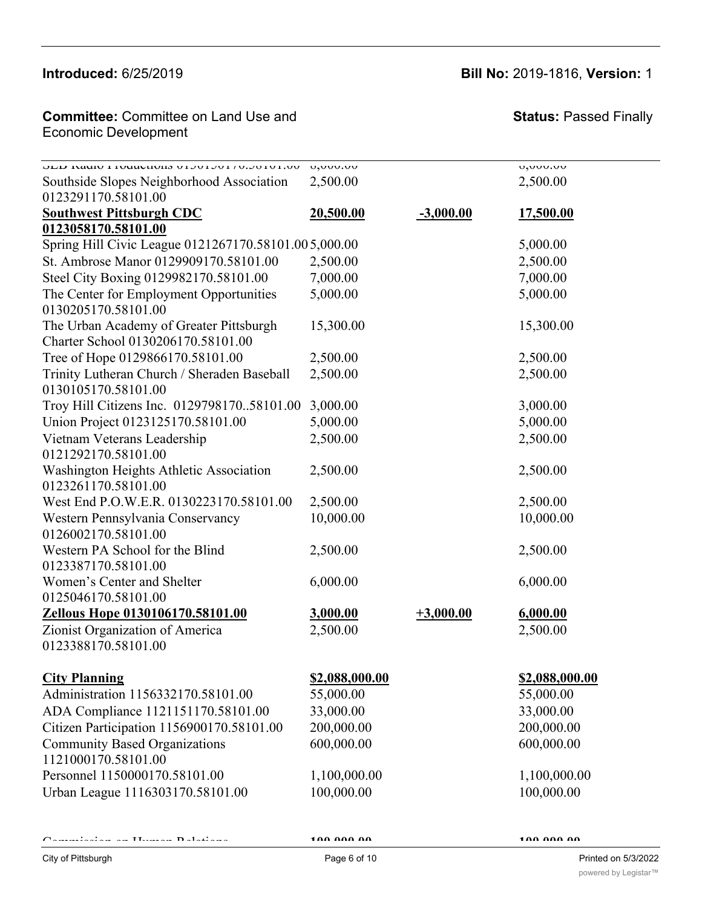#### Introduced: 6/25/2019 Schenley Heights CDC 0129852170.58101.000 1000.000 10,000.000 10,000.000 10,000.000 10,000.000 10,000.000 10,0<br>The contract of the contract of the contract of the contract of the contract of the contract of the contract o

### **Introduced:** 6/25/2019 **Bill No:** 2019-1816, **Version:** 1

#### **Committee:** Committee on Land Use and Economic Development **Committee: Committee on Land Use**

#### **Status: Passed Finally**

| <b>DED T/0/10 DEDITION OF THE SUMMINUM I</b> ADDITION              | 0,000.00       |             | 0,000.00       |
|--------------------------------------------------------------------|----------------|-------------|----------------|
| Southside Slopes Neighborhood Association                          | 2,500.00       |             | 2,500.00       |
| 0123291170.58101.00                                                |                |             |                |
| <b>Southwest Pittsburgh CDC</b>                                    | 20,500.00      | $-3,000.00$ | 17,500.00      |
| 0123058170.58101.00                                                |                |             |                |
| Spring Hill Civic League 0121267170.58101.005,000.00               |                |             | 5,000.00       |
| St. Ambrose Manor 0129909170.58101.00                              | 2,500.00       |             | 2,500.00       |
| Steel City Boxing 0129982170.58101.00                              | 7,000.00       |             | 7,000.00       |
| The Center for Employment Opportunities                            | 5,000.00       |             | 5,000.00       |
| 0130205170.58101.00                                                |                |             |                |
| The Urban Academy of Greater Pittsburgh                            | 15,300.00      |             | 15,300.00      |
| Charter School 0130206170.58101.00                                 |                |             |                |
| Tree of Hope 0129866170.58101.00                                   | 2,500.00       |             | 2,500.00       |
| Trinity Lutheran Church / Sheraden Baseball<br>0130105170.58101.00 | 2,500.00       |             | 2,500.00       |
| Troy Hill Citizens Inc. 012979817058101.00                         | 3,000.00       |             | 3,000.00       |
| Union Project 0123125170.58101.00                                  | 5,000.00       |             | 5,000.00       |
| Vietnam Veterans Leadership                                        | 2,500.00       |             | 2,500.00       |
| 0121292170.58101.00                                                |                |             |                |
| Washington Heights Athletic Association                            | 2,500.00       |             | 2,500.00       |
| 0123261170.58101.00                                                |                |             |                |
| West End P.O.W.E.R. 0130223170.58101.00                            | 2,500.00       |             | 2,500.00       |
| Western Pennsylvania Conservancy<br>0126002170.58101.00            | 10,000.00      |             | 10,000.00      |
| Western PA School for the Blind                                    | 2,500.00       |             | 2,500.00       |
| 0123387170.58101.00                                                |                |             |                |
| Women's Center and Shelter                                         | 6,000.00       |             | 6,000.00       |
| 0125046170.58101.00                                                |                |             |                |
| Zellous Hope 0130106170.58101.00                                   | 3,000.00       | $+3,000.00$ | 6,000.00       |
| Zionist Organization of America                                    | 2,500.00       |             | 2,500.00       |
| 0123388170.58101.00                                                |                |             |                |
| <b>City Planning</b>                                               | \$2,088,000.00 |             | \$2,088,000.00 |
| Administration 1156332170.58101.00                                 | 55,000.00      |             | 55,000.00      |
| ADA Compliance 1121151170.58101.00                                 | 33,000.00      |             | 33,000.00      |
| Citizen Participation 1156900170.58101.00                          | 200,000.00     |             | 200,000.00     |
| <b>Community Based Organizations</b>                               | 600,000.00     |             | 600,000.00     |
| 1121000170.58101.00                                                |                |             |                |
| Personnel 1150000170.58101.00                                      | 1,100,000.00   |             | 1,100,000.00   |
| Urban League 1116303170.58101.00                                   | 100,000.00     |             | 100,000.00     |
|                                                                    |                |             |                |

Commission on Human Relations **100,000.00 100,000.00**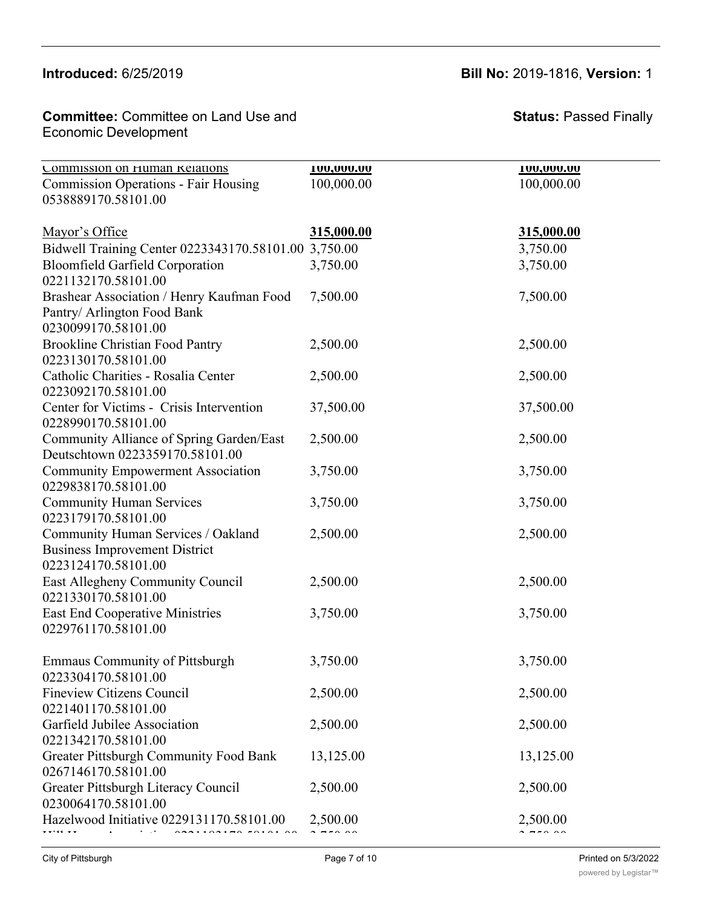### **Introduced:** 6/25/2019 **Bill No:** 2019-1816, **Version:** 1

**Committee:** Committee on Land Use and **Committee: Status:** Pa Economic Development

**Status:** Passed Finally

| Commission on Human Kelations<br><b>Commission Operations - Fair Housing</b><br>0538889170.58101.00 | <b>100,000.00</b><br>100,000.00 | <b>100,000.00</b><br>100,000.00 |
|-----------------------------------------------------------------------------------------------------|---------------------------------|---------------------------------|
| Mayor's Office                                                                                      | 315,000.00                      | 315,000.00                      |
| Bidwell Training Center 0223343170.58101.00 3,750.00                                                |                                 | 3,750.00                        |
| <b>Bloomfield Garfield Corporation</b><br>0221132170.58101.00                                       | 3,750.00                        | 3,750.00                        |
| Brashear Association / Henry Kaufman Food<br>Pantry/ Arlington Food Bank<br>0230099170.58101.00     | 7,500.00                        | 7,500.00                        |
| <b>Brookline Christian Food Pantry</b><br>0223130170.58101.00                                       | 2,500.00                        | 2,500.00                        |
| Catholic Charities - Rosalia Center<br>0223092170.58101.00                                          | 2,500.00                        | 2,500.00                        |
| Center for Victims - Crisis Intervention<br>0228990170.58101.00                                     | 37,500.00                       | 37,500.00                       |
| Community Alliance of Spring Garden/East<br>Deutschtown 0223359170.58101.00                         | 2,500.00                        | 2,500.00                        |
| <b>Community Empowerment Association</b><br>0229838170.58101.00                                     | 3,750.00                        | 3,750.00                        |
| <b>Community Human Services</b><br>0223179170.58101.00                                              | 3,750.00                        | 3,750.00                        |
| Community Human Services / Oakland<br><b>Business Improvement District</b><br>0223124170.58101.00   | 2,500.00                        | 2,500.00                        |
| East Allegheny Community Council<br>0221330170.58101.00                                             | 2,500.00                        | 2,500.00                        |
| <b>East End Cooperative Ministries</b><br>0229761170.58101.00                                       | 3,750.00                        | 3,750.00                        |
| <b>Emmaus Community of Pittsburgh</b><br>0223304170.58101.00                                        | 3,750.00                        | 3,750.00                        |
| <b>Fineview Citizens Council</b><br>0221401170.58101.00                                             | 2,500.00                        | 2,500.00                        |
| Garfield Jubilee Association<br>0221342170.58101.00                                                 | 2,500.00                        | 2,500.00                        |
| <b>Greater Pittsburgh Community Food Bank</b><br>0267146170.58101.00                                | 13,125.00                       | 13,125.00                       |
| Greater Pittsburgh Literacy Council<br>0230064170.58101.00                                          | 2,500.00                        | 2,500.00                        |
| Hazelwood Initiative 0229131170.58101.00                                                            | 2,500.00                        | 2,500.00<br>$- - - - -$         |
|                                                                                                     |                                 |                                 |

Citizen Participation 1156900170.58101.00 200,000.00 200,000.00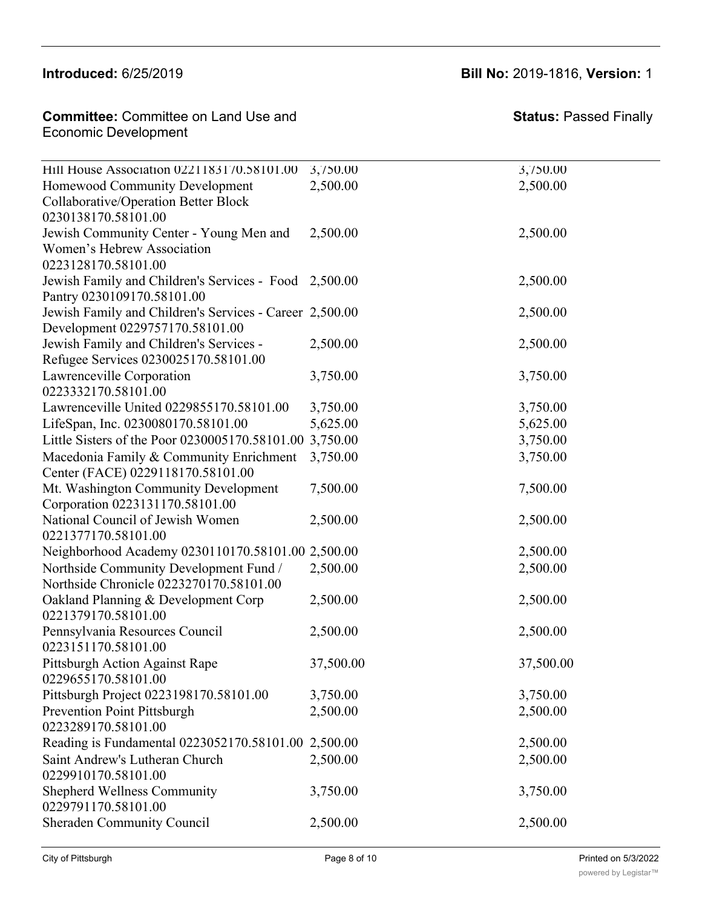0221401170.58101.00

### **Introduced:** 6/25/2019 **Bill No:** 2019-1816, **Version:** 1

**Committee:** Committee on Land Use and Economic Development 0267146170.58101.00 **Committee:** Committee on Land

| Hill House Association 0221183170.58101.00              | 3,750.00  | 3,750.00  |
|---------------------------------------------------------|-----------|-----------|
| Homewood Community Development                          | 2,500.00  | 2,500.00  |
| Collaborative/Operation Better Block                    |           |           |
| 0230138170.58101.00                                     |           |           |
| Jewish Community Center - Young Men and                 | 2,500.00  | 2,500.00  |
| Women's Hebrew Association                              |           |           |
| 0223128170.58101.00                                     |           |           |
| Jewish Family and Children's Services - Food 2,500.00   |           | 2,500.00  |
| Pantry 0230109170.58101.00                              |           |           |
| Jewish Family and Children's Services - Career 2,500.00 |           | 2,500.00  |
| Development 0229757170.58101.00                         |           |           |
| Jewish Family and Children's Services -                 | 2,500.00  | 2,500.00  |
| Refugee Services 0230025170.58101.00                    |           |           |
| Lawrenceville Corporation                               | 3,750.00  | 3,750.00  |
| 0223332170.58101.00                                     |           |           |
| Lawrenceville United 0229855170.58101.00                | 3,750.00  | 3,750.00  |
| LifeSpan, Inc. 0230080170.58101.00                      | 5,625.00  | 5,625.00  |
| Little Sisters of the Poor 0230005170.58101.00 3,750.00 |           | 3,750.00  |
| Macedonia Family & Community Enrichment                 | 3,750.00  | 3,750.00  |
| Center (FACE) 0229118170.58101.00                       |           |           |
| Mt. Washington Community Development                    | 7,500.00  | 7,500.00  |
| Corporation 0223131170.58101.00                         |           |           |
| National Council of Jewish Women                        | 2,500.00  | 2,500.00  |
| 0221377170.58101.00                                     |           |           |
| Neighborhood Academy 0230110170.58101.00 2,500.00       |           | 2,500.00  |
| Northside Community Development Fund /                  | 2,500.00  | 2,500.00  |
| Northside Chronicle 0223270170.58101.00                 |           |           |
| Oakland Planning & Development Corp                     | 2,500.00  | 2,500.00  |
| 0221379170.58101.00                                     |           |           |
| Pennsylvania Resources Council                          | 2,500.00  | 2,500.00  |
| 0223151170.58101.00                                     |           |           |
| Pittsburgh Action Against Rape                          | 37,500.00 | 37,500.00 |
| 0229655170.58101.00                                     |           |           |
| Pittsburgh Project 0223198170.58101.00                  | 3,750.00  | 3,750.00  |
| Prevention Point Pittsburgh                             | 2,500.00  | 2,500.00  |
| 0223289170.58101.00                                     |           |           |
| Reading is Fundamental 0223052170.58101.00 2,500.00     |           | 2,500.00  |
| Saint Andrew's Lutheran Church                          | 2,500.00  | 2,500.00  |
| 0229910170.58101.00                                     |           |           |
| <b>Shepherd Wellness Community</b>                      | 3,750.00  | 3,750.00  |
| 0229791170.58101.00                                     |           |           |
| Sheraden Community Council                              | 2,500.00  | 2,500.00  |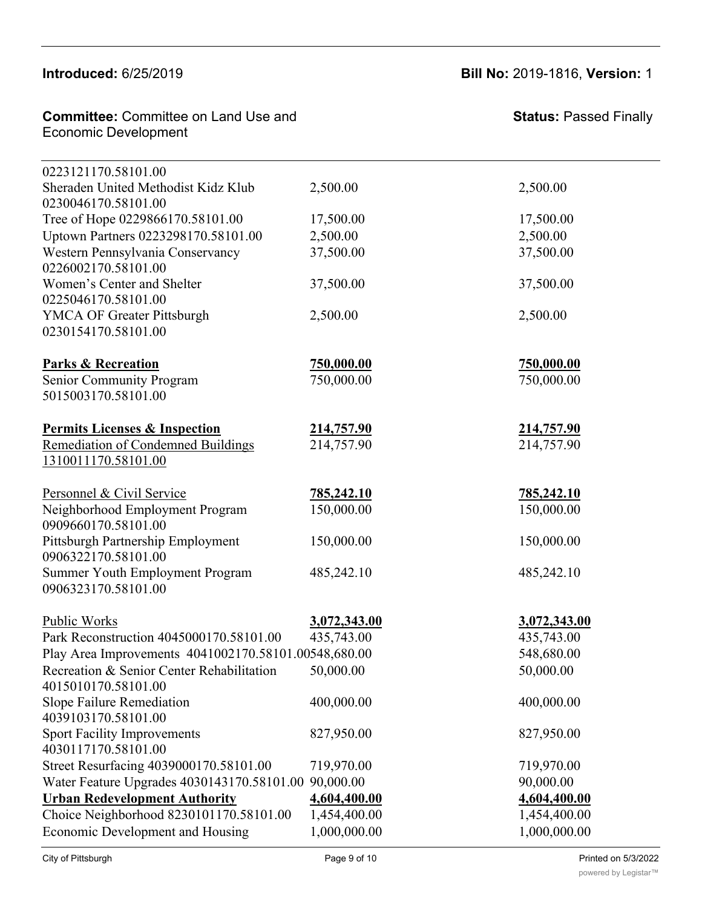### **Introduced:**  $6/25/2019$  **b**  $\overline{5/25/2019}$

Prevention Point Pittsburgh

### **Introduced:** 6/25/2019 **Bill No:** 2019-1816, **Version:** 1

2,500.000 2,500.000 2,500.000 2,500.000 2,500.000 2,500.000 2,500.000 2,500.000 2,500.000 2,500.000 2,500.000

| <b>Committee: Committee on Land Use and</b><br><b>Economic Development</b> |                   | <b>Status: Passed Finally</b> |
|----------------------------------------------------------------------------|-------------------|-------------------------------|
| 0223121170.58101.00                                                        |                   |                               |
| Sheraden United Methodist Kidz Klub<br>0230046170.58101.00                 | 2,500.00          | 2,500.00                      |
| Tree of Hope 0229866170.58101.00                                           | 17,500.00         | 17,500.00                     |
| Uptown Partners 0223298170.58101.00                                        | 2,500.00          | 2,500.00                      |
| Western Pennsylvania Conservancy<br>0226002170.58101.00                    | 37,500.00         | 37,500.00                     |
| Women's Center and Shelter<br>0225046170.58101.00                          | 37,500.00         | 37,500.00                     |
| <b>YMCA OF Greater Pittsburgh</b><br>0230154170.58101.00                   | 2,500.00          | 2,500.00                      |
| <b>Parks &amp; Recreation</b>                                              | <u>750,000.00</u> | <u>750,000.00</u>             |
| Senior Community Program<br>5015003170.58101.00                            | 750,000.00        | 750,000.00                    |
| <b>Permits Licenses &amp; Inspection</b>                                   | 214,757.90        | 214,757.90                    |
| <b>Remediation of Condemned Buildings</b><br>1310011170.58101.00           | 214,757.90        | 214,757.90                    |
| Personnel & Civil Service                                                  | <u>785,242.10</u> | <u>785,242.10</u>             |
| Neighborhood Employment Program<br>0909660170.58101.00                     | 150,000.00        | 150,000.00                    |
| Pittsburgh Partnership Employment<br>0906322170.58101.00                   | 150,000.00        | 150,000.00                    |
| Summer Youth Employment Program<br>0906323170.58101.00                     | 485,242.10        | 485,242.10                    |
| Public Works                                                               | 3,072,343.00      | 3,072,343.00                  |
| Park Reconstruction 4045000170.58101.00                                    | 435,743.00        | 435,743.00                    |
| Play Area Improvements 4041002170.58101.00548,680.00                       |                   | 548,680.00                    |
| Recreation & Senior Center Rehabilitation<br>4015010170.58101.00           | 50,000.00         | 50,000.00                     |
| Slope Failure Remediation<br>4039103170.58101.00                           | 400,000.00        | 400,000.00                    |
| <b>Sport Facility Improvements</b><br>4030117170.58101.00                  | 827,950.00        | 827,950.00                    |
| Street Resurfacing 4039000170.58101.00                                     | 719,970.00        | 719,970.00                    |
| Water Feature Upgrades 4030143170.58101.00                                 | 90,000.00         | 90,000.00                     |
| <b>Urban Redevelopment Authority</b>                                       | 4,604,400.00      | 4,604,400.00                  |
| Choice Neighborhood 8230101170.58101.00                                    | 1,454,400.00      | 1,454,400.00                  |
| Economic Development and Housing                                           | 1,000,000.00      | 1,000,000.00                  |